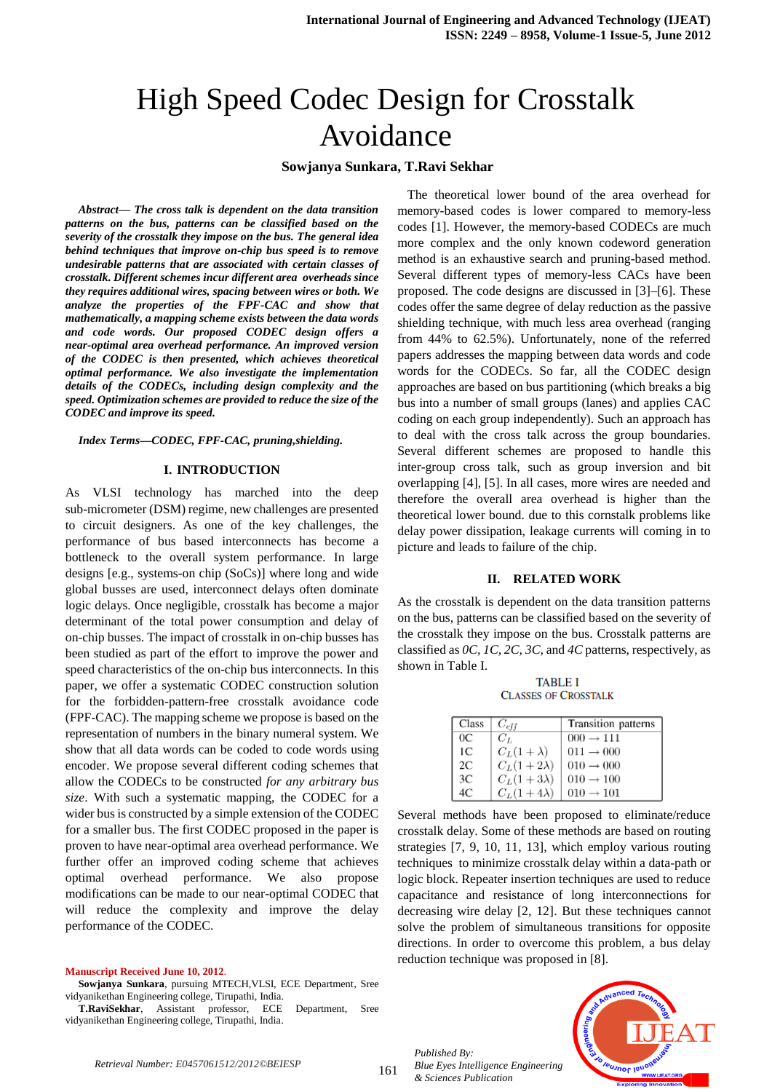# High Speed Codec Design for Crosstalk Avoidance

# **Sowjanya Sunkara, T.Ravi Sekhar**

*Abstract— The cross talk is dependent on the data transition patterns on the bus, patterns can be classified based on the severity of the crosstalk they impose on the bus. The general idea behind techniques that improve on-chip bus speed is to remove undesirable patterns that are associated with certain classes of crosstalk. Different schemes incur different area overheads since they requires additional wires, spacing between wires or both. We analyze the properties of the FPF-CAC and show that mathematically, a mapping scheme exists between the data words and code words. Our proposed CODEC design offers a near-optimal area overhead performance. An improved version of the CODEC is then presented, which achieves theoretical optimal performance. We also investigate the implementation details of the CODECs, including design complexity and the speed. Optimization schemes are provided to reduce the size of the CODEC and improve its speed.*

*Index Terms—CODEC, FPF-CAC, pruning,shielding.*

#### **I. INTRODUCTION**

As VLSI technology has marched into the deep sub-micrometer (DSM) regime, new challenges are presented to circuit designers. As one of the key challenges, the performance of bus based interconnects has become a bottleneck to the overall system performance. In large designs [e.g., systems-on chip (SoCs)] where long and wide global busses are used, interconnect delays often dominate logic delays. Once negligible, crosstalk has become a major determinant of the total power consumption and delay of on-chip busses. The impact of crosstalk in on-chip busses has been studied as part of the effort to improve the power and speed characteristics of the on-chip bus interconnects. In this paper, we offer a systematic CODEC construction solution for the forbidden-pattern-free crosstalk avoidance code (FPF-CAC). The mapping scheme we propose is based on the representation of numbers in the binary numeral system. We show that all data words can be coded to code words using encoder. We propose several different coding schemes that allow the CODECs to be constructed *for any arbitrary bus size*. With such a systematic mapping, the CODEC for a wider bus is constructed by a simple extension of the CODEC for a smaller bus. The first CODEC proposed in the paper is proven to have near-optimal area overhead performance. We further offer an improved coding scheme that achieves optimal overhead performance. We also propose modifications can be made to our near-optimal CODEC that will reduce the complexity and improve the delay performance of the CODEC.

#### **Manuscript Received June 10, 2012**.

**Sowjanya Sunkara**, pursuing MTECH,VLSI, ECE Department, Sree vidyanikethan Engineering college, Tirupathi, India.

**T.RaviSekhar**, Assistant professor, ECE Department, Sree vidyanikethan Engineering college, Tirupathi, India.

 The theoretical lower bound of the area overhead for memory-based codes is lower compared to memory-less codes [1]. However, the memory-based CODECs are much more complex and the only known codeword generation method is an exhaustive search and pruning-based method. Several different types of memory-less CACs have been proposed. The code designs are discussed in [3]–[6]. These codes offer the same degree of delay reduction as the passive shielding technique, with much less area overhead (ranging from 44% to 62.5%). Unfortunately, none of the referred papers addresses the mapping between data words and code words for the CODECs. So far, all the CODEC design approaches are based on bus partitioning (which breaks a big bus into a number of small groups (lanes) and applies CAC coding on each group independently). Such an approach has to deal with the cross talk across the group boundaries. Several different schemes are proposed to handle this inter-group cross talk, such as group inversion and bit overlapping [4], [5]. In all cases, more wires are needed and therefore the overall area overhead is higher than the theoretical lower bound. due to this cornstalk problems like delay power dissipation, leakage currents will coming in to picture and leads to failure of the chip.

### **II. RELATED WORK**

As the crosstalk is dependent on the data transition patterns on the bus, patterns can be classified based on the severity of the crosstalk they impose on the bus. Crosstalk patterns are classified as *0C, 1C, 2C, 3C*, and *4C* patterns, respectively, as shown in Table I.

**TABLE I CLASSES OF CROSSTALK** 

| Class   | $C_{eff}$         | Transition patterns   |
|---------|-------------------|-----------------------|
| $_{0<}$ | $C_L$             | $000 \rightarrow 111$ |
| 1С      | $C_L(1+\lambda)$  | $011 \rightarrow 000$ |
| 2C      | $C_L(1+2\lambda)$ | $010 \rightarrow 000$ |
| 3C      | $C_L(1+3\lambda)$ | $010 \rightarrow 100$ |
| 4C      | $C_L(1+4\lambda)$ | $010 \rightarrow 101$ |

Several methods have been proposed to eliminate/reduce crosstalk delay. Some of these methods are based on routing strategies [7, 9, 10, 11, 13], which employ various routing techniques to minimize crosstalk delay within a data-path or logic block. Repeater insertion techniques are used to reduce capacitance and resistance of long interconnections for decreasing wire delay [2, 12]. But these techniques cannot solve the problem of simultaneous transitions for opposite directions. In order to overcome this problem, a bus delay reduction technique was proposed in [8].

*Published By: Blue Eyes Intelligence Engineering & Sciences Publication* 

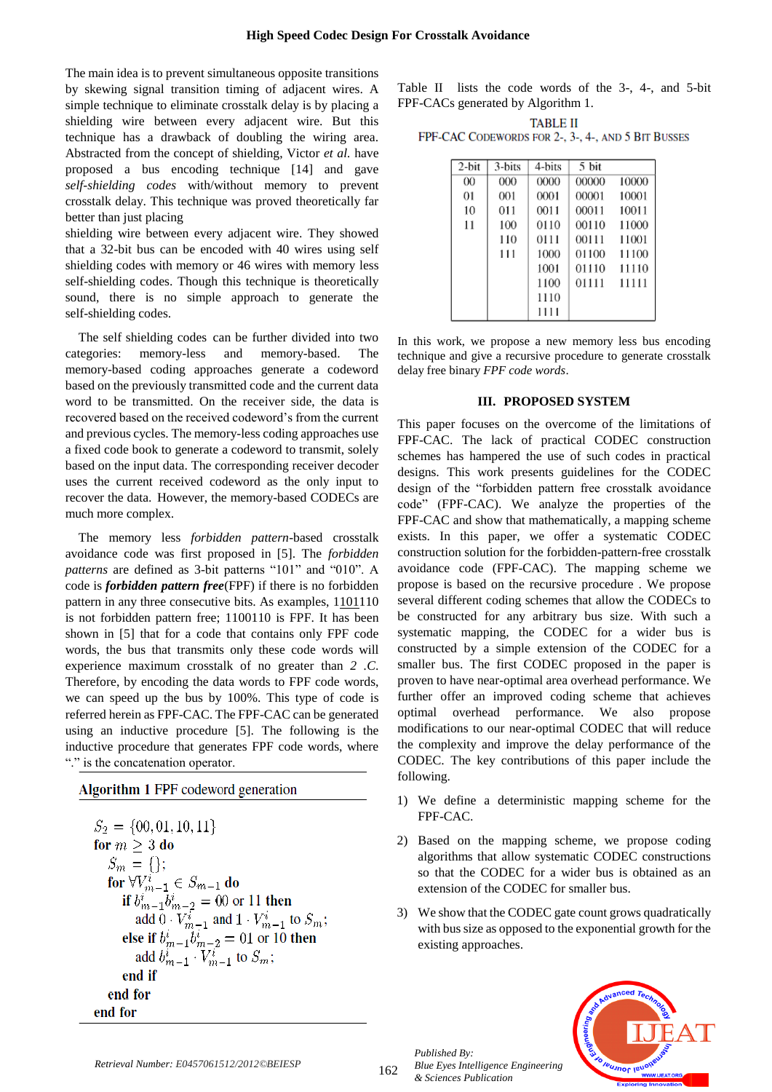The main idea is to prevent simultaneous opposite transitions by skewing signal transition timing of adjacent wires. A simple technique to eliminate crosstalk delay is by placing a shielding wire between every adjacent wire. But this technique has a drawback of doubling the wiring area. Abstracted from the concept of shielding, Victor *et al.* have proposed a bus encoding technique [14] and gave *self-shielding codes* with/without memory to prevent crosstalk delay. This technique was proved theoretically far better than just placing

shielding wire between every adjacent wire. They showed that a 32-bit bus can be encoded with 40 wires using self shielding codes with memory or 46 wires with memory less self-shielding codes. Though this technique is theoretically sound, there is no simple approach to generate the self-shielding codes.

The self shielding codes can be further divided into two categories: memory-less and memory-based. The memory-based coding approaches generate a codeword based on the previously transmitted code and the current data word to be transmitted. On the receiver side, the data is recovered based on the received codeword's from the current and previous cycles. The memory-less coding approaches use a fixed code book to generate a codeword to transmit, solely based on the input data. The corresponding receiver decoder uses the current received codeword as the only input to recover the data. However, the memory-based CODECs are much more complex.

The memory less *forbidden pattern*-based crosstalk avoidance code was first proposed in [5]. The *forbidden patterns* are defined as 3-bit patterns "101" and "010". A code is *forbidden pattern free*(FPF) if there is no forbidden pattern in any three consecutive bits. As examples,  $1101110$ is not forbidden pattern free; 1100110 is FPF. It has been shown in [5] that for a code that contains only FPF code words, the bus that transmits only these code words will experience maximum crosstalk of no greater than *2 .C*. Therefore, by encoding the data words to FPF code words, we can speed up the bus by 100%. This type of code is referred herein as FPF-CAC. The FPF-CAC can be generated using an inductive procedure [5]. The following is the inductive procedure that generates FPF code words, where "." is the concatenation operator.

# Algorithm 1 FPF codeword generation

$$
S_2 = \{00, 01, 10, 11\}
$$
  
for  $m \ge 3$  do  
 $S_m = \{\}$ ;  
for  $\forall V_{m-1}^i \in S_{m-1}$  do  
if  $b_{m-1}^i b_{m-2}^i = 00$  or 11 then  
add  $0 \cdot V_{m-1}^i$  and  $1 \cdot V_{m-1}^i$  to  $S_m$ ;  
else if  $b_{m-1}^i b_{m-2}^i = 01$  or 10 then  
add  $b_{m-1}^i \cdot V_{m-1}^i$  to  $S_m$ ;  
end if  
end for  
end for

Table II lists the code words of the 3-, 4-, and 5-bit FPF-CACs generated by Algorithm 1.

| <b>TABLE II</b>                                    |  |
|----------------------------------------------------|--|
| FPF-CAC CODEWORDS FOR 2-, 3-, 4-, AND 5 BIT BUSSES |  |

| 2-bit | 3-bits | 4-bits | 5 bit |       |
|-------|--------|--------|-------|-------|
| 00    | 000    | 0000   | 00000 | 10000 |
| 01    | 001    | 0001   | 00001 | 10001 |
| 10    | 011    | 0011   | 00011 | 10011 |
| 11    | 100    | 0110   | 00110 | 11000 |
|       | 110    | 0111   | 00111 | 11001 |
|       | 111    | 1000   | 01100 | 11100 |
|       |        | 1001   | 01110 | 11110 |
|       |        | 1100   | 01111 | 11111 |
|       |        | 1110   |       |       |
|       |        | 1111   |       |       |

In this work, we propose a new memory less bus encoding technique and give a recursive procedure to generate crosstalk delay free binary *FPF code words*.

#### **III. PROPOSED SYSTEM**

This paper focuses on the overcome of the limitations of FPF-CAC. The lack of practical CODEC construction schemes has hampered the use of such codes in practical designs. This work presents guidelines for the CODEC design of the "forbidden pattern free crosstalk avoidance code" (FPF-CAC). We analyze the properties of the FPF-CAC and show that mathematically, a mapping scheme exists. In this paper, we offer a systematic CODEC construction solution for the forbidden-pattern-free crosstalk avoidance code (FPF-CAC). The mapping scheme we propose is based on the recursive procedure . We propose several different coding schemes that allow the CODECs to be constructed for any arbitrary bus size. With such a systematic mapping, the CODEC for a wider bus is constructed by a simple extension of the CODEC for a smaller bus. The first CODEC proposed in the paper is proven to have near-optimal area overhead performance. We further offer an improved coding scheme that achieves optimal overhead performance. We also propose modifications to our near-optimal CODEC that will reduce the complexity and improve the delay performance of the CODEC. The key contributions of this paper include the following.

- 1) We define a deterministic mapping scheme for the FPF-CAC.
- 2) Based on the mapping scheme, we propose coding algorithms that allow systematic CODEC constructions so that the CODEC for a wider bus is obtained as an extension of the CODEC for smaller bus.
- 3) We show that the CODEC gate count grows quadratically with bus size as opposed to the exponential growth for the existing approaches.



*Published By:*

*& Sciences Publication* 

*Blue Eyes Intelligence Engineering*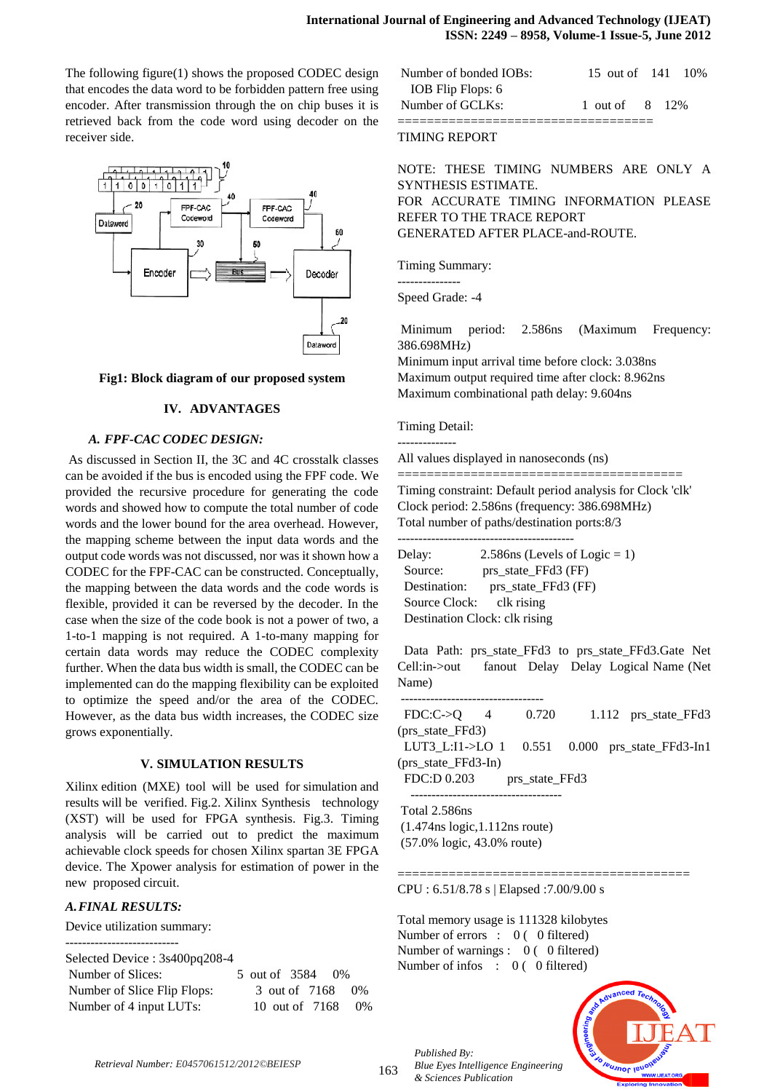The following figure(1) shows the proposed CODEC design that encodes the data word to be forbidden pattern free using encoder. After transmission through the on chip buses it is retrieved back from the code word using decoder on the receiver side.



#### **Fig1: Block diagram of our proposed system**

# **IV. ADVANTAGES**

#### *A. FPF-CAC CODEC DESIGN:*

As discussed in Section II, the 3C and 4C crosstalk classes can be avoided if the bus is encoded using the FPF code. We provided the recursive procedure for generating the code words and showed how to compute the total number of code words and the lower bound for the area overhead. However, the mapping scheme between the input data words and the output code words was not discussed, nor was it shown how a CODEC for the FPF-CAC can be constructed. Conceptually, the mapping between the data words and the code words is flexible, provided it can be reversed by the decoder. In the case when the size of the code book is not a power of two, a 1-to-1 mapping is not required. A 1-to-many mapping for certain data words may reduce the CODEC complexity further. When the data bus width is small, the CODEC can be implemented can do the mapping flexibility can be exploited to optimize the speed and/or the area of the CODEC. However, as the data bus width increases, the CODEC size grows exponentially.

#### **V. SIMULATION RESULTS**

Xilinx edition (MXE) tool will be used for simulation and results will be verified. Fig.2. Xilinx Synthesis technology (XST) will be used for FPGA synthesis. Fig.3. Timing analysis will be carried out to predict the maximum achievable clock speeds for chosen Xilinx spartan 3E FPGA device. The Xpower analysis for estimation of power in the new proposed circuit.

# *A.FINAL RESULTS:*

---------------------------

Device utilization summary:

Selected Device : 3s400pq208-4

| Number of Slices:           | 5 out of 3584 0\%  |  |
|-----------------------------|--------------------|--|
| Number of Slice Flip Flops: | 3 out of 7168 0\%  |  |
| Number of 4 input LUTs:     | 10 out of 7168 0\% |  |

| Number of bonded IOBs: | 15 out of 141 10\% |  |
|------------------------|--------------------|--|
| IOB Flip Flops: 6      |                    |  |
| Number of GCLKs:       | 1 out of 8 12%     |  |
|                        |                    |  |

#### TIMING REPORT

NOTE: THESE TIMING NUMBERS ARE ONLY A SYNTHESIS ESTIMATE. FOR ACCURATE TIMING INFORMATION PLEASE REFER TO THE TRACE REPORT GENERATED AFTER PLACE-and-ROUTE.

Timing Summary:

---------------

Speed Grade: -4

Minimum period: 2.586ns (Maximum Frequency: 386.698MHz)

Minimum input arrival time before clock: 3.038ns Maximum output required time after clock: 8.962ns Maximum combinational path delay: 9.604ns

Timing Detail:

--------------

All values displayed in nanoseconds (ns)

=======================================

Timing constraint: Default period analysis for Clock 'clk' Clock period: 2.586ns (frequency: 386.698MHz) Total number of paths/destination ports:8/3

------------------------------------------

| Delay:                   | 2.586 (Levels of Logic = 1)   |
|--------------------------|-------------------------------|
| Source:                  | prs_state_FFd3 (FF)           |
| Destination:             | prs_state_FFd3 (FF)           |
| Source Clock: clk rising |                               |
|                          | Destination Clock: clk rising |

Data Path: prs\_state\_FFd3 to prs\_state\_FFd3.Gate\_Net Cell:in->out fanout Delay Delay Logical Name (Net Name)

| $FDC:C\rightarrow O$ 4 | 0.720          |  | 1.112 prs state FFd3                               |
|------------------------|----------------|--|----------------------------------------------------|
| (prs_state_FFd3)       |                |  |                                                    |
|                        |                |  | LUT3_L:I1->LO 1 $0.551$ $0.000$ prs_state_FFd3-In1 |
| (prs_state_FFd3-In)    |                |  |                                                    |
| FDC:D 0.203            | prs_state_FFd3 |  |                                                    |
|                        |                |  |                                                    |
|                        |                |  |                                                    |

========================================

Total 2.586ns (1.474ns logic,1.112ns route) (57.0% logic, 43.0% route)

CPU : 6.51/8.78 s | Elapsed :7.00/9.00 s

Total memory usage is 111328 kilobytes Number of errors : 0 ( 0 filtered) Number of warnings : 0 (0 filtered) Number of infos : 0 (0 filtered)

*Blue Eyes Intelligence Engineering* 



*Retrieval Number: E0457061512/2012©BEIESP*

*Published By:*

*& Sciences Publication*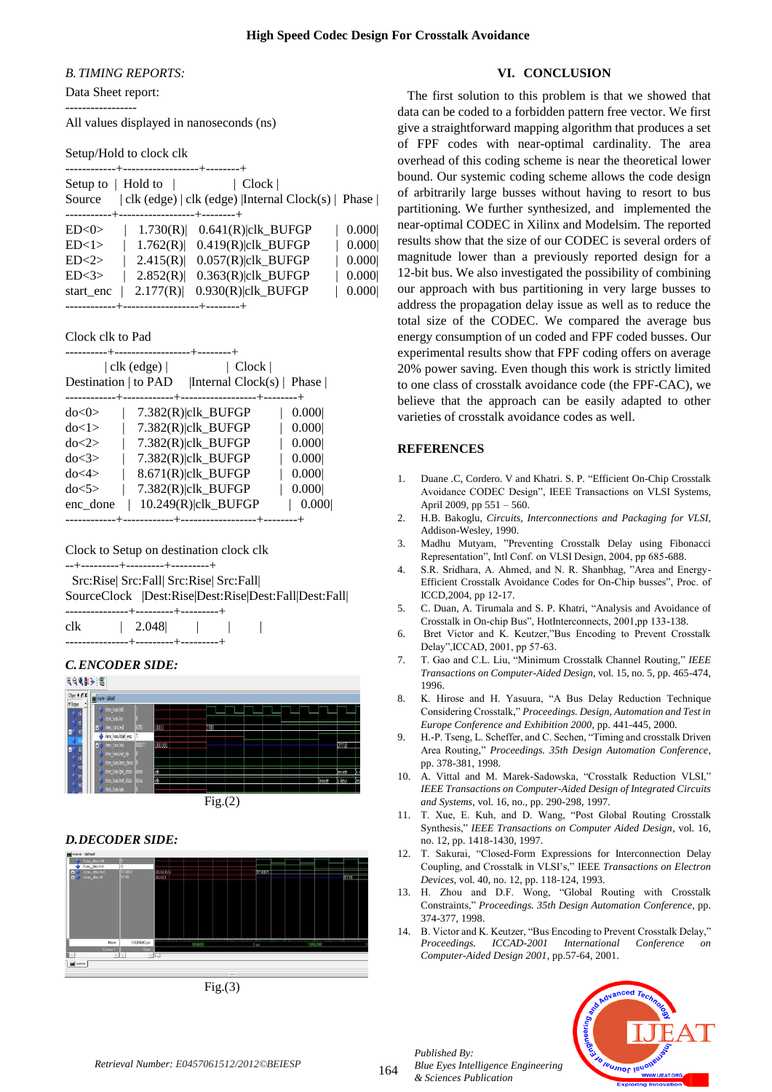#### *B. TIMING REPORTS:*

Data Sheet report: -----------------

All values displayed in nanoseconds (ns)

Setup/Hold to clock clk

|                          |          | +-------------------+---------+      |                       |                                                     |
|--------------------------|----------|--------------------------------------|-----------------------|-----------------------------------------------------|
| Setup to $\vert$ Hold to |          |                                      | Clock                 |                                                     |
| Source                   |          |                                      |                       | clk (edge)   clk (edge)   Internal Clock(s)   Phase |
|                          |          |                                      |                       |                                                     |
| ED<0>                    | 1.730(R) |                                      | $0.641(R)$  clk_BUFGP | 0.000                                               |
| ED<1>                    | 1.762(R) |                                      | $0.419(R)$  clk BUFGP | 0.000                                               |
| ED < 2>                  | 2.415(R) |                                      | $0.057(R)$  clk_BUFGP | 0.000                                               |
| ED<3>                    | 2.852(R) |                                      | $0.363(R)$  clk_BUFGP | 0.000                                               |
| start enc                | 2.177(R) |                                      | $0.930(R)$  clk_BUFGP | 0.000                                               |
|                          |          | -------+------------------+--------+ |                       |                                                     |

Clock clk to Pad

|                      |                    | --------------+----------+  |       |
|----------------------|--------------------|-----------------------------|-------|
|                      | $ $ clk (edge) $ $ | Clock                       |       |
| Destination   to PAD |                    | [Internal Clock(s)   Phase] |       |
|                      |                    |                             |       |
| $d$ o< $0$ >         |                    | $7.382(R)$  clk BUFGP       | 0.000 |
| do < 1 >             |                    | $7.382(R)$  clk_BUFGP       | 0.000 |
| do < 2>              |                    | $7.382(R)$  clk_BUFGP       | 0.000 |
| do < 3>              |                    | $7.382(R)$  clk BUFGP       | 0.000 |
| do < 4>              |                    | $8.671(R)$  clk_BUFGP       | 0.000 |
| do<5>                |                    | $7.382(R)$  clk BUFGP       | 0.000 |
| enc_done             |                    | $10.249(R)$  clk BUFGP      | 0.000 |
|                      |                    |                             |       |

Clock to Setup on destination clock clk

--+---------+---------+---------+

 Src:Rise| Src:Fall| Src:Rise| Src:Fall| SourceClock |Dest:Rise|Dest:Rise|Dest:Fall|Dest:Fall|

| clk | 2.048                                  | - 11 |  |  |
|-----|----------------------------------------|------|--|--|
|     | the state of the state of the state of |      |  |  |
|     |                                        |      |  |  |

#### *C.ENCODER SIDE:*



# *D.DECODER SIDE:*



 $Fig.(3)$ 

#### **VI. CONCLUSION**

 The first solution to this problem is that we showed that data can be coded to a forbidden pattern free vector. We first give a straightforward mapping algorithm that produces a set of FPF codes with near-optimal cardinality. The area overhead of this coding scheme is near the theoretical lower bound. Our systemic coding scheme allows the code design of arbitrarily large busses without having to resort to bus partitioning. We further synthesized, and implemented the near-optimal CODEC in Xilinx and Modelsim. The reported results show that the size of our CODEC is several orders of magnitude lower than a previously reported design for a 12-bit bus. We also investigated the possibility of combining our approach with bus partitioning in very large busses to address the propagation delay issue as well as to reduce the total size of the CODEC. We compared the average bus energy consumption of un coded and FPF coded busses. Our experimental results show that FPF coding offers on average 20% power saving. Even though this work is strictly limited to one class of crosstalk avoidance code (the FPF-CAC), we believe that the approach can be easily adapted to other varieties of crosstalk avoidance codes as well.

# **REFERENCES**

- 1. Duane .C, Cordero. V and Khatri. S. P. "Efficient On-Chip Crosstalk Avoidance CODEC Design", IEEE Transactions on VLSI Systems, April 2009, pp 551 – 560.
- 2. H.B. Bakoglu, *Circuits, Interconnections and Packaging for VLSI*, Addison-Wesley, 1990.
- 3. Madhu Mutyam, "Preventing Crosstalk Delay using Fibonacci Representation", Intl Conf. on VLSI Design, 2004, pp 685-688.
- 4. S.R. Sridhara, A. Ahmed, and N. R. Shanbhag, "Area and Energy-Efficient Crosstalk Avoidance Codes for On-Chip busses", Proc. of ICCD,2004, pp 12-17.
- 5. C. Duan, A. Tirumala and S. P. Khatri, "Analysis and Avoidance of Crosstalk in On-chip Bus", HotInterconnects, 2001,pp 133-138.
- 6. Bret Victor and K. Keutzer,"Bus Encoding to Prevent Crosstalk Delay",ICCAD, 2001, pp 57-63.
- 7. T. Gao and C.L. Liu, "Minimum Crosstalk Channel Routing," *IEEE Transactions on Computer-Aided Design*, vol. 15, no. 5, pp. 465-474, 1996.
- 8. K. Hirose and H. Yasuura, "A Bus Delay Reduction Technique Considering Crosstalk," *Proceedings. Design, Automation and Test in Europe Conference and Exhibition 2000*, pp. 441-445, 2000.
- 9. H.-P. Tseng, L. Scheffer, and C. Sechen, "Timing and crosstalk Driven Area Routing," *Proceedings. 35th Design Automation Conference*, pp. 378-381, 1998.
- 10. A. Vittal and M. Marek-Sadowska, "Crosstalk Reduction VLSI," *IEEE Transactions on Computer-Aided Design of Integrated Circuits and Systems*, vol. 16, no., pp. 290-298, 1997.
- 11. T. Xue, E. Kuh, and D. Wang, "Post Global Routing Crosstalk Synthesis," *IEEE Transactions on Computer Aided Design*, vol. 16, no. 12, pp. 1418-1430, 1997.
- 12. T. Sakurai, "Closed-Form Expressions for Interconnection Delay Coupling, and Crosstalk in VLSI's," IEEE *Transactions on Electron Devices*, vol. 40, no. 12, pp. 118-124, 1993.
- 13. H. Zhou and D.F. Wong, "Global Routing with Crosstalk Constraints," *Proceedings. 35th Design Automation Conference*, pp. 374-377, 1998.
- 14. B. Victor and K. Keutzer, "Bus Encoding to Prevent Crosstalk Delay," *Proceedings. ICCAD-2001 International Conference on Computer-Aided Design 2001*, pp.57-64, 2001.



*Published By:*

*& Sciences Publication* 

*Blue Eyes Intelligence Engineering*